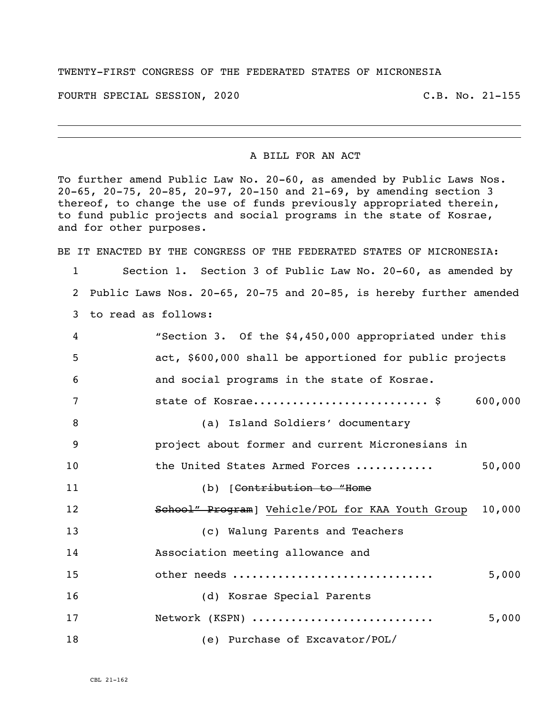## TWENTY-FIRST CONGRESS OF THE FEDERATED STATES OF MICRONESIA

FOURTH SPECIAL SESSION, 2020 C.B. No. 21-155

## A BILL FOR AN ACT

To further amend Public Law No. 20-60, as amended by Public Laws Nos. 20-65, 20-75, 20-85, 20-97, 20-150 and 21-69, by amending section 3 thereof, to change the use of funds previously appropriated therein, to fund public projects and social programs in the state of Kosrae, and for other purposes.

BE IT ENACTED BY THE CONGRESS OF THE FEDERATED STATES OF MICRONESIA:

 Section 1. Section 3 of Public Law No. 20-60, as amended by Public Laws Nos. 20-65, 20-75 and 20-85, is hereby further amended to read as follows:

| 4  | "Section 3. Of the \$4,450,000 appropriated under this     |
|----|------------------------------------------------------------|
| 5  | act, \$600,000 shall be apportioned for public projects    |
| 6  | and social programs in the state of Kosrae.                |
| 7  | state of Kosrae \$<br>600,000                              |
| 8  | (a) Island Soldiers' documentary                           |
| 9  | project about former and current Micronesians in           |
| 10 | 50,000<br>the United States Armed Forces                   |
| 11 | (b) [Contribution to "Home                                 |
| 12 | 10,000<br>School" Program] Vehicle/POL for KAA Youth Group |
| 13 | (c) Walung Parents and Teachers                            |
| 14 | Association meeting allowance and                          |
| 15 | other needs<br>5,000                                       |
| 16 | (d) Kosrae Special Parents                                 |
| 17 | Network (KSPN)<br>5,000                                    |
| 18 | (e) Purchase of Excavator/POL/                             |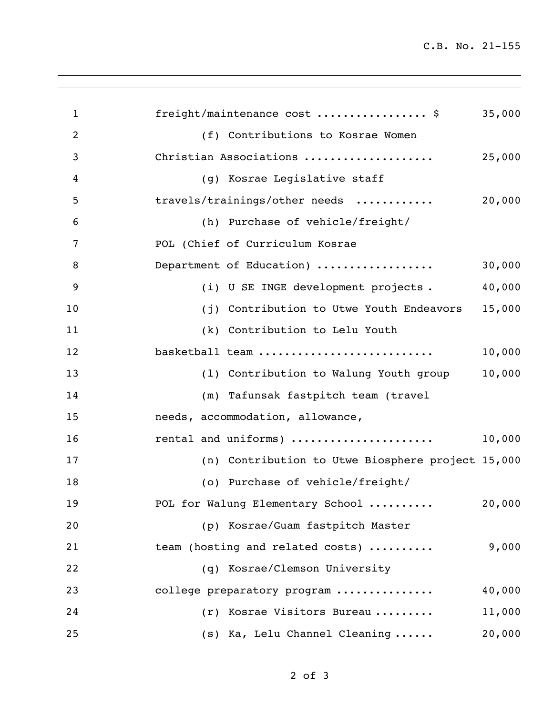C.B. No. 21-155

| $\mathbf{1}$   | freight/maintenance cost  \$                      | 35,000 |
|----------------|---------------------------------------------------|--------|
| $\overline{2}$ | (f) Contributions to Kosrae Women                 |        |
| 3              | Christian Associations                            | 25,000 |
| 4              | (g) Kosrae Legislative staff                      |        |
| 5              | travels/trainings/other needs                     | 20,000 |
| 6              | (h) Purchase of vehicle/freight/                  |        |
| 7              | POL (Chief of Curriculum Kosrae                   |        |
| 8              | Department of Education)                          | 30,000 |
| 9              | (i) U SE INGE development projects.               | 40,000 |
| 10             | (j) Contribution to Utwe Youth Endeavors          | 15,000 |
| 11             | (k) Contribution to Lelu Youth                    |        |
| 12             | basketball team                                   | 10,000 |
| 13             | (1) Contribution to Walung Youth group            | 10,000 |
| 14             | (m) Tafunsak fastpitch team (travel               |        |
| 15             | needs, accommodation, allowance,                  |        |
| 16             | rental and uniforms)                              | 10,000 |
| 17             | (n) Contribution to Utwe Biosphere project 15,000 |        |
| 18             | (o) Purchase of vehicle/freight/                  |        |
| 19             | POL for Walung Elementary School                  | 20,000 |
| 20             | (p) Kosrae/Guam fastpitch Master                  |        |
| 21             | team (hosting and related costs)                  | 9,000  |
| 22             | (q) Kosrae/Clemson University                     |        |
| 23             | college preparatory program                       | 40,000 |
| 24             | (r) Kosrae Visitors Bureau                        | 11,000 |
| 25             | (s) Ka, Lelu Channel Cleaning                     | 20,000 |